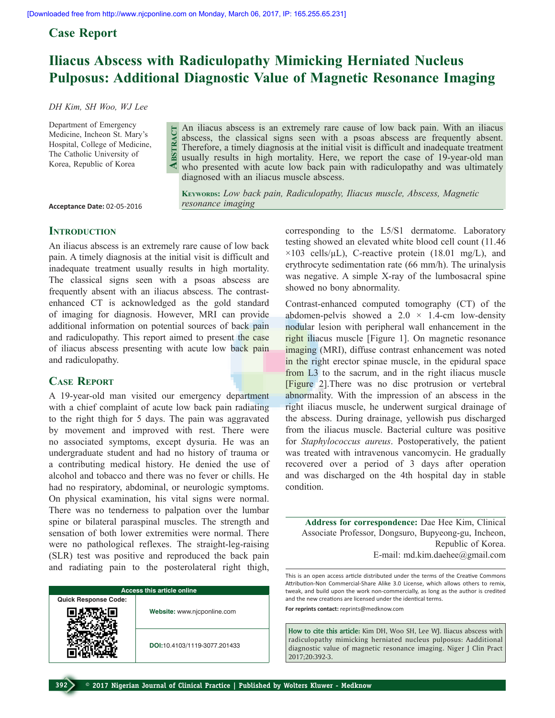**Abstract**

*resonance imaging* 

## **Case Report**

# **Iliacus Abscess with Radiculopathy Mimicking Herniated Nucleus Pulposus: Additional Diagnostic Value of Magnetic Resonance Imaging**

*DH Kim, SH Woo, WJ Lee* 

Department of Emergency Medicine, Incheon St. Mary's Hospital, College of Medicine, The Catholic University of Korea, Republic of Korea

An iliacus abscess is an extremely rare cause of low back pain. With an iliacus abscess, the classical signs seen with a psoas abscess are frequently absent. Therefore, a timely diagnosis at the initial visit is difficult and inadequate treatment usually results in high mortality. Here, we report the case of 19-year-old man who presented with acute low back pain with radiculopathy and was ultimately diagnosed with an iliacus muscle abscess.

**Keywords:** *Low back pain, Radiculopathy, Iliacus muscle, Abscess, Magnetic* 

**Acceptance Date:** 02-05-2016

#### **INTRODUCTION**

An iliacus abscess is an extremely rare cause of low back pain. A timely diagnosis at the initial visit is difficult and inadequate treatment usually results in high mortality. The classical signs seen with a psoas abscess are frequently absent with an iliacus abscess. The contrastenhanced CT is acknowledged as the gold standard of imaging for diagnosis. However, MRI can provide additional information on potential sources of back pain and radiculopathy. This report aimed to present the case of iliacus abscess presenting with acute low back pain and radiculopathy.

### **Case Report**

A 19-year-old man visited our emergency department with a chief complaint of acute low back pain radiating to the right thigh for 5 days. The pain was aggravated by movement and improved with rest. There were no associated symptoms, except dysuria. He was an undergraduate student and had no history of trauma or a contributing medical history. He denied the use of alcohol and tobacco and there was no fever or chills. He had no respiratory, abdominal, or neurologic symptoms. On physical examination, his vital signs were normal. There was no tenderness to palpation over the lumbar spine or bilateral paraspinal muscles. The strength and sensation of both lower extremities were normal. There were no pathological reflexes. The straight-leg-raising (SLR) test was positive and reproduced the back pain and radiating pain to the posterolateral right thigh,

| <b>Access this article online</b> |                              |
|-----------------------------------|------------------------------|
| <b>Quick Response Code:</b>       |                              |
|                                   | Website: www.njcponline.com  |
|                                   | DOI:10.4103/1119-3077.201433 |

corresponding to the L5/S1 dermatome. Laboratory

testing showed an elevated white blood cell count (11.46  $\times$ 103 cells/ $\mu$ L), C-reactive protein (18.01 mg/L), and erythrocyte sedimentation rate (66 mm/h). The urinalysis was negative. A simple X-ray of the lumbosacral spine showed no bony abnormality.

Contrast-enhanced computed tomography (CT) of the abdomen-pelvis showed a  $2.0 \times 1.4$ -cm low-density nodular lesion with peripheral wall enhancement in the right iliacus muscle [Figure 1]. On magnetic resonance imaging (MRI), diffuse contrast enhancement was noted in the right erector spinae muscle, in the epidural space from L3 to the sacrum, and in the right iliacus muscle [Figure 2].There was no disc protrusion or vertebral abnormality. With the impression of an abscess in the right iliacus muscle, he underwent surgical drainage of the abscess. During drainage, yellowish pus discharged from the iliacus muscle. Bacterial culture was positive for *Staphylococcus aureus*. Postoperatively, the patient was treated with intravenous vancomycin. He gradually recovered over a period of 3 days after operation and was discharged on the 4th hospital day in stable condition.

**Address for correspondence:** Dae Hee Kim, Clinical Associate Professor, Dongsuro, Bupyeong-gu, Incheon, Republic of Korea. E-mail: md.kim.daehee@gmail.com

This is an open access article distributed under the terms of the Creative Commons Attribution-Non Commercial-Share Alike 3.0 License, which allows others to remix, tweak, and build upon the work non-commercially, as long as the author is credited and the new creations are licensed under the identical terms.

**For reprints contact:** reprints@medknow.com

**How to cite this article:** Kim DH, Woo SH, Lee WJ. Iliacus abscess with radiculopathy mimicking herniated nucleus pulposus: Aadditional diagnostic value of magnetic resonance imaging. Niger J Clin Pract 2017;20:392-3.